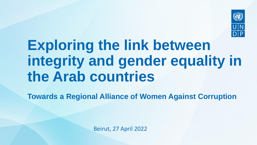

## **Exploring the link between integrity and gender equality in the Arab countries**

**Towards a Regional Alliance of Women Against Corruption** 

Beirut, 27 April 2022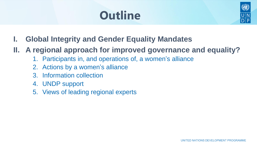### **Outline**



- **I. Global Integrity and Gender Equality Mandates**
- **II. A regional approach for improved governance and equality?** 
	- 1. Participants in, and operations of, a women's alliance
	- 2. Actions by a women's alliance
	- 3. Information collection
	- 4. UNDP support
	- 5. Views of leading regional experts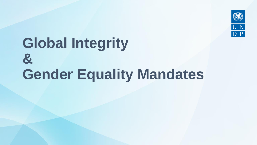

## **Global Integrity & Gender Equality Mandates**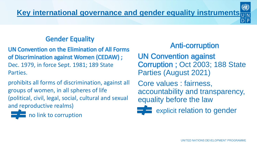#### Gender Equality

UN Convention on the Elimination of All Forms of Discrimination against Women (CEDAW) ; Dec. 1979, in force Sept. 1981; 189 State Parties.

prohibits all forms of discrimination, against all groups of women, in all spheres of life (political, civil, legal, social, cultural and sexual and reproductive realms)



#### Anti-corruption

UN Convention against Corruption ; Oct 2003; 188 State Parties (August 2021)

Core values : fairness, accountability and transparency, equality before the law



 $\equiv$  explicit relation to gender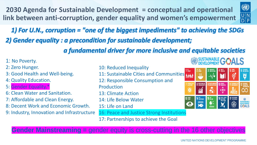**2030 Agenda for Sustainable Development = conceptual and operational link between anti-corruption, gender equality and women's empowerment**



*2) Gender equality : a precondition for sustainable development; 1) For U.N., corruption = "one of the biggest impediments" to achieving the SDGs*

*a fundamental driver for more inclusive and equitable societies*

| 1: No Poverty.                             |                                            |                                      |                                                | <b>BUSTAINABLE GALS</b>                                 |                                                  |                                                      |                                     |  |  |
|--------------------------------------------|--------------------------------------------|--------------------------------------|------------------------------------------------|---------------------------------------------------------|--------------------------------------------------|------------------------------------------------------|-------------------------------------|--|--|
| 2: Zero Hunger.                            | 10: Reduced Inequality                     | $1NO$ poverty                        | $2 \frac{\text{ZERO}}{\text{HUNGER}}$          | <b>1</b> 3 GOOD HEALTH <b>4</b> QUALITY <b>5</b> GENDER |                                                  |                                                      | <b>6</b> CLEAN WATER                |  |  |
| 3: Good Health and Well-being.             | 11: Sustainable Cities and Communities MAN |                                      | $\frac{1}{2}$                                  | $-\sqrt{\bullet}$                                       |                                                  | ල්                                                   | <b>d</b>                            |  |  |
| 4: Quality Education.                      | 12: Responsible Consumption and            |                                      |                                                |                                                         |                                                  |                                                      |                                     |  |  |
| 5: Gender Equality.*                       | Production                                 | <b>AFFORDABLE AN</b><br>CLEAN ENERGY | 8 DECENT WORK AND <b>9 NOUSTRY, INNOVATION</b> | $\clubsuit$                                             | <b>10 REDUCED</b><br>$\langle \hat{\Xi} \rangle$ | 11 SUSTAINABLE CITY OF RESPONSIBLE TO AND FRODUCTION |                                     |  |  |
| 6: Clean Water and Sanitation.             | 13: Climate Action                         |                                      | $\gamma$                                       |                                                         |                                                  |                                                      |                                     |  |  |
| 7: Affordable and Clean Energy.            | 14: Life Below Water                       | $\vert$ 13 $\frac{CUMATE}{ACTION}$   | <b>14 UFE 15 UPE 16 WILAND</b>                 |                                                         | 16 AND SURVEY AND THE GOALS                      |                                                      |                                     |  |  |
| 8: Decent Work and Economic Growth.        | 15: Life on Land                           |                                      | $\sum_{i=1}^{\infty}$                          | 62                                                      |                                                  | $\circledast$                                        | SUSTAINABLE<br>DEVELOPMENT<br>GOALS |  |  |
| 9: Industry, Innovation and Infrastructure | 16: Peace and Justice Strong Institutions  |                                      |                                                |                                                         |                                                  |                                                      |                                     |  |  |
|                                            | 17: Partnerships to achieve the Goal       |                                      |                                                |                                                         |                                                  |                                                      |                                     |  |  |

**Gender Mainstreaming =** gender equity is cross-cutting in the 16 other objectives

 $\sqrt{2}$  . All constants in the set of  $\sqrt{2}$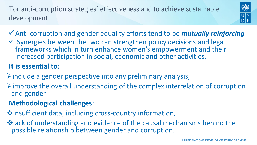For anti-corruption strategies' effectiveness and to achieve sustainable development



- ✓Anti-corruption and gender equality efforts tend to be *mutually reinforcing*
- $\checkmark$  Synergies between the two can strengthen policy decisions and legal frameworks which in turn enhance women's empowerment and their increased participation in social, economic and other activities.

#### **It is essential to:**

- ➢include a gender perspective into any preliminary analysis;
- $\triangleright$  improve the overall understanding of the complex interrelation of corruption and gender.

#### **Methodological challenges**:

- ❖insufficient data, including cross-country information,
- ❖lack of understanding and evidence of the causal mechanisms behind the possible relationship between gender and corruption.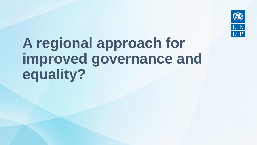

# **A regional approach for improved governance and equality?**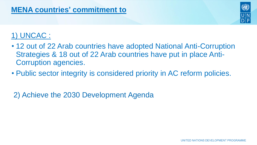

#### 1) UNCAC :

- 12 out of 22 Arab countries have adopted National Anti-Corruption Strategies & 18 out of 22 Arab countries have put in place Anti-Corruption agencies.
- Public sector integrity is considered priority in AC reform policies.

2) Achieve the 2030 Development Agenda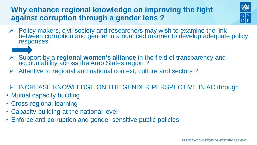#### **Why enhance regional knowledge on improving the fight against corruption through a gender lens ?**



- ➢ Policy makers, civil society and researchers may wish to examine the link between corruption and gender in a nuanced manner to develop adequate policy responses.
- ➢ Support by a **regional women's alliance** in the field of transparency and accountability across the Arab States region?
- ➢ Attentive to regional and national context, culture and sectors ?
- ➢ INCREASE KNOWLEDGE ON THE GENDER PERSPECTIVE IN AC through
- Mutual capacity building
- Cross-regional learning
- Capacity-building at the national level
- Enforce anti-corruption and gender sensitive public policies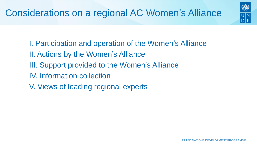

- I. Participation and operation of the Women's Alliance
- II. Actions by the Women's Alliance
- III. Support provided to the Women's Alliance
- IV. Information collection
- V. Views of leading regional experts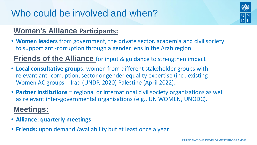### Who could be involved and when?

#### **Women's Alliance Participants:**

• **Women leaders** from government, the private sector, academia and civil society to support anti-corruption through a gender lens in the Arab region.

**Friends of the Alliance** for input & guidance to strengthen impact

- **Local consultative groups**: women from different stakeholder groups with relevant anti-corruption, sector or gender equality expertise (incl. existing Women AC groups - Iraq (UNDP, 2020) Palestine (April 2022);
- **Partner institutions** = regional or international civil society organisations as well as relevant inter-governmental organisations (e.g., UN WOMEN, UNODC).

#### **Meetings:**

- **Alliance: quarterly meetings**
- **Friends:** upon demand /availability but at least once a year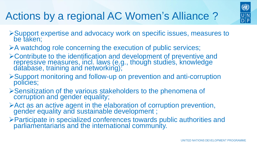### Actions by a regional AC Women's Alliance ?



- ➢Support expertise and advocacy work on specific issues, measures to be taken;
- ➢A watchdog role concerning the execution of public services;
- ➢Contribute to the identification and development of preventive and repressive measures, incl. laws (e.g., though studies, knowledge database, training and networking);
- ➢Support monitoring and follow-up on prevention and anti-corruption policies;
- ➢Sensitization of the various stakeholders to the phenomena of corruption and gender equality;
- ➢Act as an active agent in the elaboration of corruption prevention, gender equality and sustainable development ;
- ➢Participate in specialized conferences towards public authorities and parliamentarians and the international community.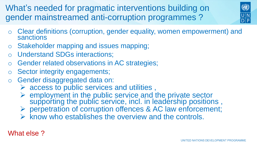What's needed for pragmatic interventions building on gender mainstreamed anti-corruption programmes ?



- o Clear definitions (corruption, gender equality, women empowerment) and sanctions
- o Stakeholder mapping and issues mapping;
- o Understand SDGs interactions;
- Gender related observations in AC strategies;
- o Sector integrity engagements;
- o Gender disaggregated data on:
	- $\triangleright$  access to public services and utilities,
	- ➢ employment in the public service and the private sector supporting the public service, incl. in leadership positions,
	- ➢ perpetration of corruption offences & AC law enforcement;
	- $\triangleright$  know who establishes the overview and the controls.

#### What else ?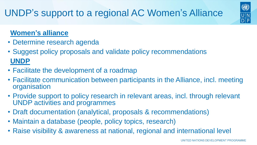

#### **Women's alliance**

- Determine research agenda
- Suggest policy proposals and validate policy recommendations **UNDP**
- Facilitate the development of a roadmap
- Facilitate communication between participants in the Alliance, incl. meeting organisation
- Provide support to policy research in relevant areas, incl. through relevant UNDP activities and programmes
- Draft documentation (analytical, proposals & recommendations)
- Maintain a database (people, policy topics, research)
- Raise visibility & awareness at national, regional and international level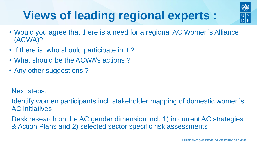## **Views of leading regional experts :**



- Would you agree that there is a need for a regional AC Women's Alliance (ACWA)?
- If there is, who should participate in it?
- What should be the ACWA's actions?
- Any other suggestions?

#### Next steps:

Identify women participants incl. stakeholder mapping of domestic women's AC initiatives

Desk research on the AC gender dimension incl. 1) in current AC strategies & Action Plans and 2) selected sector specific risk assessments